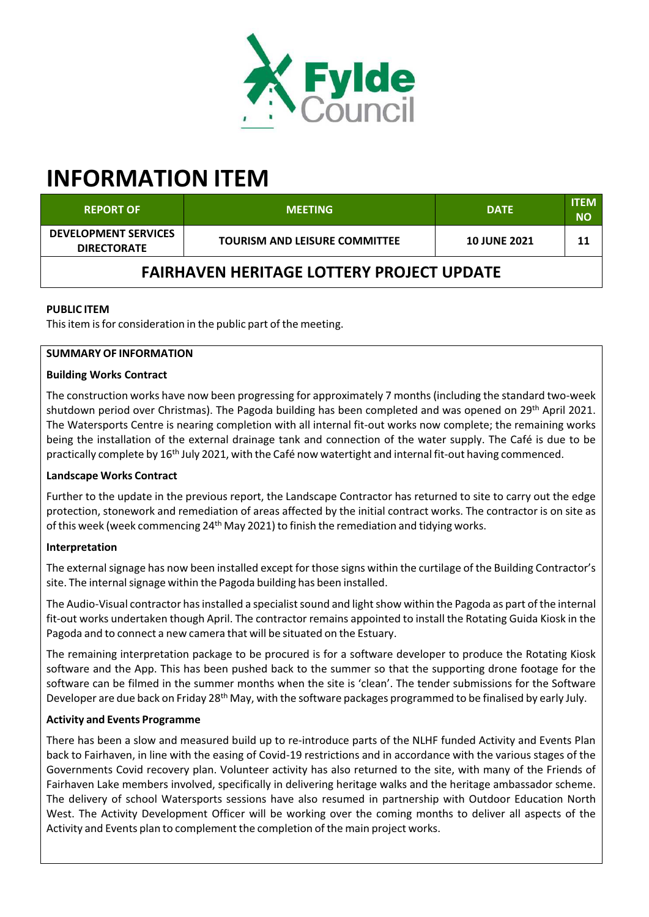

# **INFORMATION ITEM**

| <b>REPORT OF</b>                                  | <b>MEETING</b>                       | <b>DATE</b>         | <b>ITEM</b><br><b>NO</b> |
|---------------------------------------------------|--------------------------------------|---------------------|--------------------------|
| <b>DEVELOPMENT SERVICES</b><br><b>DIRECTORATE</b> | <b>TOURISM AND LEISURE COMMITTEE</b> | <b>10 JUNE 2021</b> | 11                       |
| <b>FAIRHAVEN HERITAGE LOTTERY PROJECT UPDATE</b>  |                                      |                     |                          |

## **PUBLIC ITEM**

This item is for consideration in the public part of the meeting.

## **SUMMARY OF INFORMATION**

#### **Building Works Contract**

The construction works have now been progressing for approximately 7 months (including the standard two-week shutdown period over Christmas). The Pagoda building has been completed and was opened on 29<sup>th</sup> April 2021. The Watersports Centre is nearing completion with all internal fit‐out works now complete; the remaining works being the installation of the external drainage tank and connection of the water supply. The Café is due to be practically complete by 16<sup>th</sup> July 2021, with the Café now watertight and internal fit-out having commenced.

## **Landscape Works Contract**

Further to the update in the previous report, the Landscape Contractor has returned to site to carry out the edge protection, stonework and remediation of areas affected by the initial contract works. The contractor is on site as of this week (week commencing 24<sup>th</sup> May 2021) to finish the remediation and tidying works.

#### **Interpretation**

The external signage has now been installed except for those signs within the curtilage of the Building Contractor's site. The internal signage within the Pagoda building has been installed.

The Audio-Visual contractor has installed a specialist sound and light show within the Pagoda as part of the internal fit-out works undertaken though April. The contractor remains appointed to install the Rotating Guida Kiosk in the Pagoda and to connect a new camera that will be situated on the Estuary.

The remaining interpretation package to be procured is for a software developer to produce the Rotating Kiosk software and the App. This has been pushed back to the summer so that the supporting drone footage for the software can be filmed in the summer months when the site is 'clean'. The tender submissions for the Software Developer are due back on Friday 28<sup>th</sup> May, with the software packages programmed to be finalised by early July.

#### **Activity and Events Programme**

There has been a slow and measured build up to re‐introduce parts of the NLHF funded Activity and Events Plan back to Fairhaven, in line with the easing of Covid‐19 restrictions and in accordance with the various stages of the Governments Covid recovery plan. Volunteer activity has also returned to the site, with many of the Friends of Fairhaven Lake members involved, specifically in delivering heritage walks and the heritage ambassador scheme. The delivery of school Watersports sessions have also resumed in partnership with Outdoor Education North West. The Activity Development Officer will be working over the coming months to deliver all aspects of the Activity and Events plan to complement the completion of the main project works.